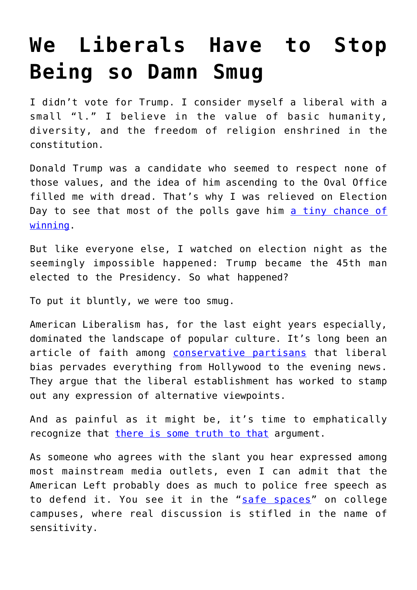## **[We Liberals Have to Stop](https://intellectualtakeout.org/2016/11/we-liberals-have-to-stop-being-so-damn-smug/) [Being so Damn Smug](https://intellectualtakeout.org/2016/11/we-liberals-have-to-stop-being-so-damn-smug/)**

I didn't vote for Trump. I consider myself a liberal with a small "l." I believe in the value of basic humanity, diversity, and the freedom of religion enshrined in the constitution.

Donald Trump was a candidate who seemed to respect none of those values, and the idea of him ascending to the Oval Office filled me with dread. That's why I was relieved on Election Day to see that most of the polls gave him [a tiny chance of](http://www.realclearpolitics.com/epolls/latest_polls/elections/) [winning](http://www.realclearpolitics.com/epolls/latest_polls/elections/).

But like everyone else, I watched on election night as the seemingly impossible happened: Trump became the 45th man elected to the Presidency. So what happened?

To put it bluntly, we were too smug.

American Liberalism has, for the last eight years especially, dominated the landscape of popular culture. It's long been an article of faith among [conservative partisans](http://www.huffingtonpost.com/2011/04/22/sean-hannitys-special-beh_n_852587.html) that liberal bias pervades everything from Hollywood to the evening news. They argue that the liberal establishment has worked to stamp out any expression of alternative viewpoints.

And as painful as it might be, it's time to emphatically recognize that [there is some truth to that](http://fortune.com/2015/11/02/liberal-media/) argument.

As someone who agrees with the slant you hear expressed among most mainstream media outlets, even I can admit that the American Left probably does as much to police free speech as to defend it. You see it in the "[safe spaces](http://www.usatoday.com/story/opinion/2016/11/14/trump-liberal-college-campuses-michigan-yale-glenn-reynolds-column/93765568/)" on college campuses, where real discussion is stifled in the name of sensitivity.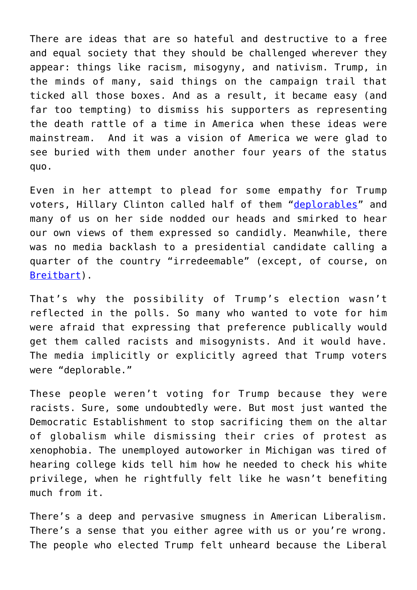There are ideas that are so hateful and destructive to a free and equal society that they should be challenged wherever they appear: things like racism, misogyny, and nativism. Trump, in the minds of many, said things on the campaign trail that ticked all those boxes. And as a result, it became easy (and far too tempting) to dismiss his supporters as representing the death rattle of a time in America when these ideas were mainstream. And it was a vision of America we were glad to see buried with them under another four years of the status quo.

Even in her attempt to plead for some empathy for Trump voters, Hillary Clinton called half of them "[deplorables"](https://www.washingtonpost.com/politics/clintons-deplorables-remark-sums-up-a-deplorable-election-season/2016/09/10/78977694-777b-11e6-be4f-3f42f2e5a49e_story.html) and many of us on her side nodded our heads and smirked to hear our own views of them expressed so candidly. Meanwhile, there was no media backlash to a presidential candidate calling a quarter of the country "irredeemable" (except, of course, on [Breitbart\)](http://www.breitbart.com/big-government/2016/09/13/irredeemable-clinton-deplorable/).

That's why the possibility of Trump's election wasn't reflected in the polls. So many who wanted to vote for him were afraid that expressing that preference publically would get them called racists and misogynists. And it would have. The media implicitly or explicitly agreed that Trump voters were "deplorable."

These people weren't voting for Trump because they were racists. Sure, some undoubtedly were. But most just wanted the Democratic Establishment to stop sacrificing them on the altar of globalism while dismissing their cries of protest as xenophobia. The unemployed autoworker in Michigan was tired of hearing college kids tell him how he needed to check his white privilege, when he rightfully felt like he wasn't benefiting much from it.

There's a deep and pervasive smugness in American Liberalism. There's a sense that you either agree with us or you're wrong. The people who elected Trump felt unheard because the Liberal